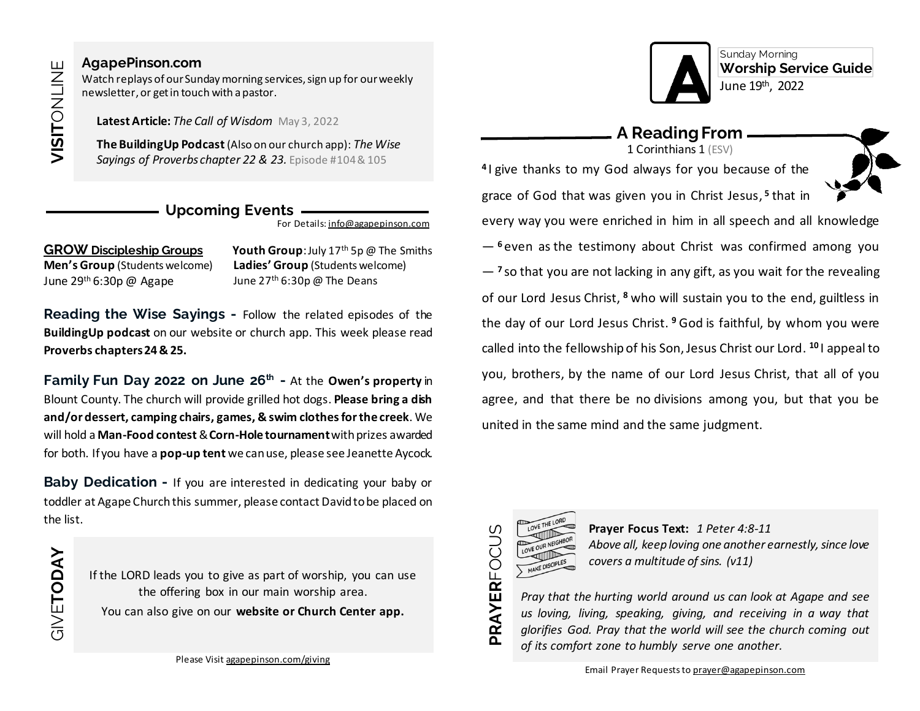GIVE**TODAY**

#### **[AgapePinson.com](https://agapepinson.com/)**

Watch replays of our Sunday morning services, sign up for our weekly newsletter, or get in touch with a pastor.

**Latest Article:** *The Call of Wisdom* May 3, 2022

**The BuildingUp Podcast**(Also on our church app): *The Wise Sayings of Proverbs chapter 22 & 23.* Episode #104& 105

## **Upcoming Events**

For Details: [info@agapepinson.com](mailto:info@agapepinson.com)

### **GROW Discipleship Groups Youth Group**: July 17th 5p @ The Smiths

**Men's Group** (Students welcome) June  $29<sup>th</sup> 6:30p$  @ Agape

**Ladies' Group** (Students welcome) June  $27<sup>th</sup> 6:30p \omega$  The Deans

**Reading the Wise Sayings -** Follow the related episodes of the **BuildingUp podcast** on our website or church app. This week please read **Proverbs chapters24& 25.**

**Family Fun Day 2022 on June 26th -** At the **Owen's property** in Blount County. The church will provide grilled hot dogs. **Please bring a dish and/or dessert, camping chairs, games, & swim clothes for the creek**. We will hold a **Man-Food contest**& **Corn-Hole tournament**with prizes awarded for both. If you have a **pop-up tent** we can use, please see Jeanette Aycock.

**Baby Dedication -** If you are interested in dedicating your baby or toddler at Agape Churchthis summer, please contact David to be placed on the list.

> If the LORD leads you to give as part of worship, you can use the offering box in our main worship area. You can also give on our **website or Church Center app.**



Sunday Morning **Worship Service Guide** June 19<sup>th</sup>, 2022

#### **A Reading From** 1 Corinthians 1 (ESV)

**4** I give thanks to my God always for you because of the



grace of God that was given you in Christ Jesus, **5** that in every way you were enriched in him in all speech and all knowledge — **<sup>6</sup>** even as the testimony about Christ was confirmed among you — **<sup>7</sup>** so that you are not lacking in any gift, as you wait for the revealing of our Lord Jesus Christ, **<sup>8</sup>** who will sustain you to the end, guiltless in the day of our Lord Jesus Christ. **<sup>9</sup>** God is faithful, by whom you were called into the fellowship of his Son, Jesus Christ our Lord. **<sup>10</sup>** I appeal to you, brothers, by the name of our Lord Jesus Christ, that all of you agree, and that there be no divisions among you, but that you be united in the same mind and the same judgment.



**Prayer Focus Text:** *1 Peter 4:8-11 Above all, keep loving one another earnestly, since love covers a multitude of sins. (v11)*

*Pray that the hurting world around us can look at Agape and see us loving, living, speaking, giving, and receiving in a way that glorifies God. Pray that the world will see the church coming out of its comfort zone to humbly serve one another.*